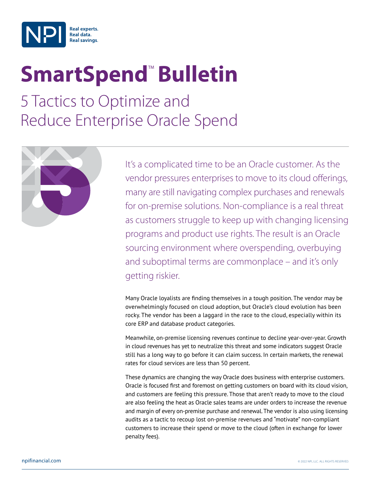

# **SmartSpend<sup>™</sup> Bulletin**

5 Tactics to Optimize and Reduce Enterprise Oracle Spend



It's a complicated time to be an Oracle customer. As the vendor pressures enterprises to move to its cloud offerings, many are still navigating complex purchases and renewals for on-premise solutions. Non-compliance is a real threat as customers struggle to keep up with changing licensing programs and product use rights. The result is an Oracle sourcing environment where overspending, overbuying and suboptimal terms are commonplace – and it's only getting riskier.

Many Oracle loyalists are finding themselves in a tough position. The vendor may be overwhelmingly focused on cloud adoption, but Oracle's cloud evolution has been rocky. The vendor has been a laggard in the race to the cloud, especially within its core ERP and database product categories.

Meanwhile, on-premise licensing revenues continue to decline year-over-year. Growth in cloud revenues has yet to neutralize this threat and some indicators suggest Oracle still has a long way to go before it can claim success. In certain markets, the renewal rates for cloud services are less than 50 percent.

These dynamics are changing the way Oracle does business with enterprise customers. Oracle is focused first and foremost on getting customers on board with its cloud vision, and customers are feeling this pressure. Those that aren't ready to move to the cloud are also feeling the heat as Oracle sales teams are under orders to increase the revenue and margin of every on-premise purchase and renewal. The vendor is also using licensing audits as a tactic to recoup lost on-premise revenues and "motivate" non-compliant customers to increase their spend or move to the cloud (often in exchange for lower penalty fees).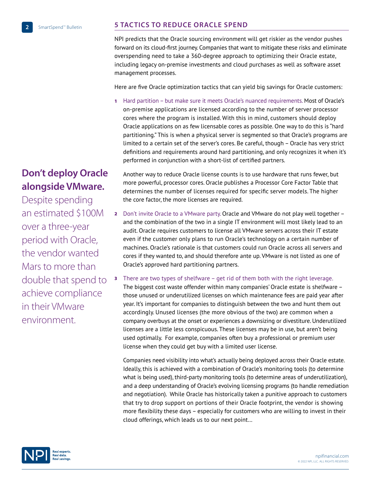## **5 TACTICS TO REDUCE ORACLE SPEND**

NPI predicts that the Oracle sourcing environment will get riskier as the vendor pushes forward on its cloud-first journey. Companies that want to mitigate these risks and eliminate overspending need to take a 360-degree approach to optimizing their Oracle estate, including legacy on-premise investments and cloud purchases as well as software asset management processes.

Here are five Oracle optimization tactics that can yield big savings for Oracle customers:

1 Hard partition – but make sure it meets Oracle's nuanced requirements. Most of Oracle's on-premise applications are licensed according to the number of server processor cores where the program is installed. With this in mind, customers should deploy Oracle applications on as few licensable cores as possible. One way to do this is "hard partitioning." This is when a physical server is segmented so that Oracle's programs are limited to a certain set of the server's cores. Be careful, though – Oracle has very strict definitions and requirements around hard partitioning, and only recognizes it when it's performed in conjunction with a short-list of certified partners.

## **Don't deploy Oracle alongside VMware.**

Despite spending an estimated \$100M over a three-year period with Oracle, the vendor wanted Mars to more than double that spend to achieve compliance in their VMware environment.

Another way to reduce Oracle license counts is to use hardware that runs fewer, but more powerful, processor cores. Oracle publishes a Processor Core Factor Table that determines the number of licenses required for specific server models. The higher the core factor, the more licenses are required.

- 2 Don't invite Oracle to a VMware party. Oracle and VMware do not play well together and the combination of the two in a single IT environment will most likely lead to an audit. Oracle requires customers to license all VMware servers across their IT estate even if the customer only plans to run Oracle's technology on a certain number of machines. Oracle's rationale is that customers could run Oracle across all servers and cores if they wanted to, and should therefore ante up. VMware is not listed as one of Oracle's approved hard partitioning partners.
- 3 There are two types of shelfware get rid of them both with the right leverage. The biggest cost waste offender within many companies' Oracle estate is shelfware – those unused or underutilized licenses on which maintenance fees are paid year after year. It's important for companies to distinguish between the two and hunt them out accordingly. Unused licenses (the more obvious of the two) are common when a company overbuys at the onset or experiences a downsizing or divestiture. Underutilized licenses are a little less conspicuous. These licenses may be in use, but aren't being used optimally. For example, companies often buy a professional or premium user license when they could get buy with a limited user license.

Companies need visibility into what's actually being deployed across their Oracle estate. Ideally, this is achieved with a combination of Oracle's monitoring tools (to determine what is being used), third-party monitoring tools (to determine areas of underutilization), and a deep understanding of Oracle's evolving licensing programs (to handle remediation and negotiation). While Oracle has historically taken a punitive approach to customers that try to drop support on portions of their Oracle footprint, the vendor is showing more flexibility these days – especially for customers who are willing to invest in their cloud offerings, which leads us to our next point…